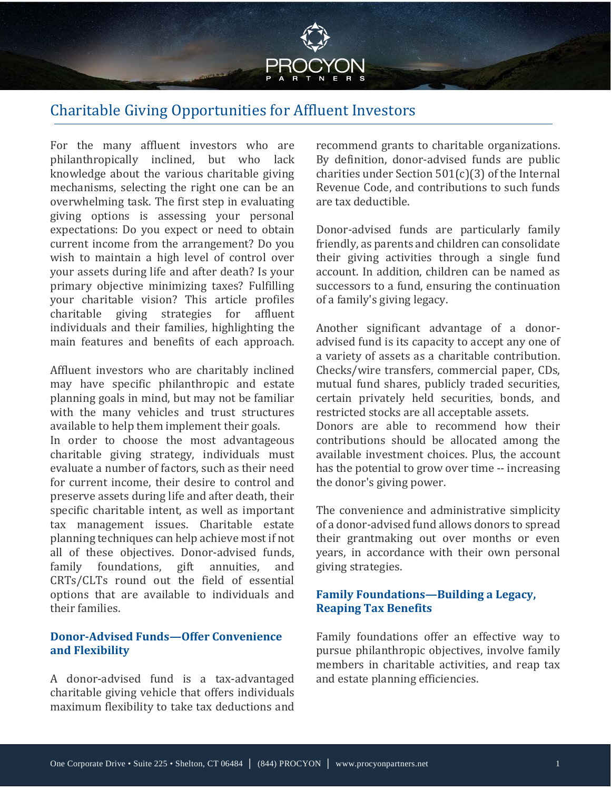

# Charitable Giving Opportunities for Affluent Investors

For the many affluent investors who are philanthropically inclined, but who lack knowledge about the various charitable giving mechanisms, selecting the right one can be an overwhelming task. The first step in evaluating giving options is assessing your personal expectations: Do you expect or need to obtain current income from the arrangement? Do you wish to maintain a high level of control over your assets during life and after death? Is your primary objective minimizing taxes? Fulfilling your charitable vision? This article profiles charitable giving strategies for affluent individuals and their families, highlighting the main features and benefits of each approach.

Affluent investors who are charitably inclined may have specific philanthropic and estate planning goals in mind, but may not be familiar with the many vehicles and trust structures available to help them implement their goals.

In order to choose the most advantageous charitable giving strategy, individuals must evaluate a number of factors, such as their need for current income, their desire to control and preserve assets during life and after death, their specific charitable intent, as well as important tax management issues. Charitable estate planning techniques can help achieve most if not all of these objectives. Donor-advised funds,<br>family foundations, gift annuities, and family foundations, gift annuities, CRTs/CLTs round out the field of essential options that are available to individuals and their families.

## **Donor-Advised Funds—Offer Convenience and Flexibility**

A donor-advised fund is a tax-advantaged charitable giving vehicle that offers individuals maximum flexibility to take tax deductions and recommend grants to charitable organizations. By definition, donor-advised funds are public charities under Section 501(c)(3) of the Internal Revenue Code, and contributions to such funds are tax deductible.

Donor-advised funds are particularly family friendly, as parents and children can consolidate their giving activities through a single fund account. In addition, children can be named as successors to a fund, ensuring the continuation of a family's giving legacy.

Another significant advantage of a donoradvised fund is its capacity to accept any one of a variety of assets as a charitable contribution. Checks/wire transfers, commercial paper, CDs, mutual fund shares, publicly traded securities, certain privately held securities, bonds, and restricted stocks are all acceptable assets. Donors are able to recommend how their contributions should be allocated among the available investment choices. Plus, the account has the potential to grow over time -- increasing the donor's giving power.

The convenience and administrative simplicity of a donor-advised fund allows donors to spread their grantmaking out over months or even years, in accordance with their own personal giving strategies.

### **Family Foundations—Building a Legacy, Reaping Tax Benefits**

Family foundations offer an effective way to pursue philanthropic objectives, involve family members in charitable activities, and reap tax and estate planning efficiencies.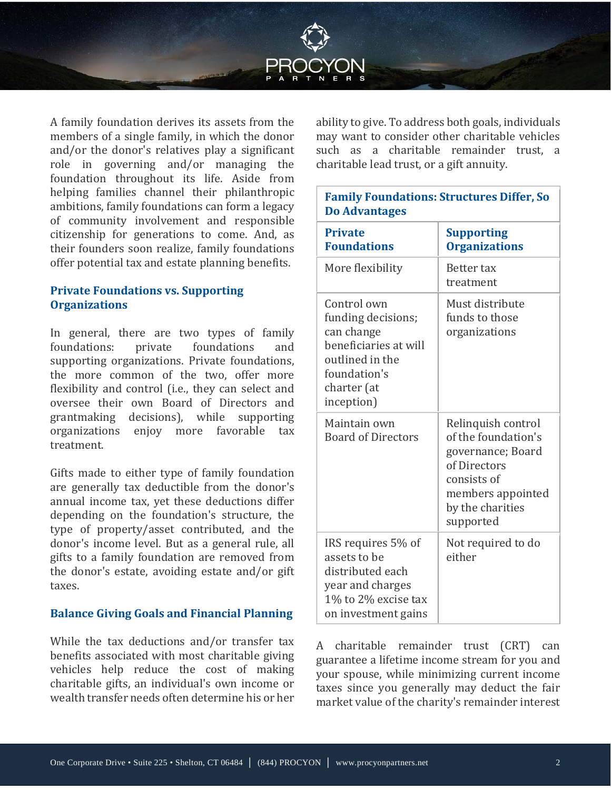

A family foundation derives its assets from the members of a single family, in which the donor and/or the donor's relatives play a significant role in governing and/or managing the foundation throughout its life. Aside from helping families channel their philanthropic ambitions, family foundations can form a legacy of community involvement and responsible citizenship for generations to come. And, as their founders soon realize, family foundations offer potential tax and estate planning benefits.

# **Private Foundations vs. Supporting Organizations**

In general, there are two types of family foundations: supporting organizations. Private foundations, the more common of the two, offer more flexibility and control (i.e., they can select and oversee their own Board of Directors and grantmaking decisions), while supporting organizations enjoy more favorable tax treatment.

Gifts made to either type of family foundation are generally tax deductible from the donor's annual income tax, yet these deductions differ depending on the foundation's structure, the type of property/asset contributed, and the donor's income level. But as a general rule, all gifts to a family foundation are removed from the donor's estate, avoiding estate and/or gift taxes.

#### **Balance Giving Goals and Financial Planning**

While the tax deductions and/or transfer tax benefits associated with most charitable giving vehicles help reduce the cost of making charitable gifts, an individual's own income or wealth transfer needs often determine his or her

ability to give. To address both goals, individuals may want to consider other charitable vehicles such as a charitable remainder trust, a charitable lead trust, or a gift annuity.

### **Family Foundations: Structures Differ, So Do Advantages**

| <b>Private</b><br><b>Foundations</b>                                                                                                     | <b>Supporting</b><br><b>Organizations</b>                                                                                                           |
|------------------------------------------------------------------------------------------------------------------------------------------|-----------------------------------------------------------------------------------------------------------------------------------------------------|
| More flexibility                                                                                                                         | Better tax<br>treatment                                                                                                                             |
| Control own<br>funding decisions;<br>can change<br>beneficiaries at will<br>outlined in the<br>foundation's<br>charter (at<br>inception) | Must distribute<br>funds to those<br>organizations                                                                                                  |
| Maintain own<br><b>Board of Directors</b>                                                                                                | Relinquish control<br>of the foundation's<br>governance; Board<br>of Directors<br>consists of<br>members appointed<br>by the charities<br>supported |
| IRS requires 5% of<br>assets to be<br>distributed each<br>year and charges<br>$1\%$ to $2\%$ excise tax<br>on investment gains           | Not required to do<br>either                                                                                                                        |

A charitable remainder trust (CRT) can guarantee a lifetime income stream for you and your spouse, while minimizing current income taxes since you generally may deduct the fair market value of the charity's remainder interest